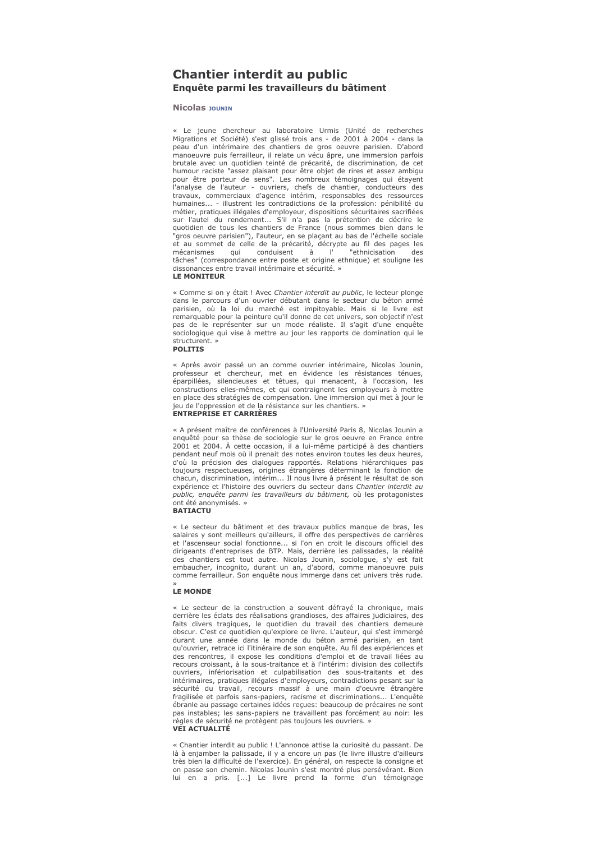## **Chantier interdit au public** Enquête parmi les travailleurs du bâtiment

## **Nicolas JOUNTN**

« Le jeune chercheur au laboratoire Urmis (Unité de recherches Migrations et Société) s'est glissé trois ans - de 2001 à 2004 - dans la peau d'un intérimaire des chantiers de gros oeuvre parisien. D'abord<br>manoeuvre puis ferrailleur, il relate un vécu âpre, une immersion parfois brutale avec un quotidien teinté de précarité, de discrimination, de cet humour raciste "assez plaisant pour être objet de rires et assez ambigu pour être porteur de sens". Les nombreux témoignages qui étayent plane de Pauteur - ouvriers, chefs de chantier, conducteurs des<br>travaux, commerciaux d'agence intérim, responsables des ressources humaines... - illustrent les contradictions de la profession: pénibilité du métier, pratiques illégales d'employeur, dispositions sécuritaires sacrifiées sur l'autel du rendement... S'il n'a pas la prétention de décrire le quotidien de tous les chantiers de France (nous sommes bien dans le "gros oeuvre parisien"), l'auteur, en se plaçant au bas de l'échelle sociale et au sommet de celle de la précarité, décrypte au fil des pages les qui conduisent "ethnicisation mécanismes à  $^{\circ}$ des tâches" (correspondance entre poste et origine ethnique) et souligne les dissonances entre travail intérimaire et sécurité. » **IF MONTTFUR** 

« Comme si on y était LAvec Chantier interdit au public le lecteur plonge dans le parcours d'un ouvrier débutant dans le secteur du béton armé parisien, où la loi du marché est impitoyable. Mais si le livre est remarquable pour la peinture qu'il donne de cet univers, son objectif n'est pas de le représenter sur un mode réaliste. Il s'agit d'une enquête sociologique qui vise à mettre au jour les rapports de domination qui le structurent. » **POLITIS** 

« Après avoir passé un an comme ouvrier intérimaire, Nicolas Jounin, professeur et chercheur, met en évidence les résistances ténues,<br>éparpillées, silencieurses et têtues, qui menacent, à l'occasion, les constructions elles-mêmes, et qui contraignent les employeurs à mettre en place des stratégies de compensation. Une immersion qui met à jour le jeu de l'oppression et de la résistance sur les chantiers. »

## **ENTREPRISE ET CARRIÈRES**

« A présent maître de conférences à l'Université Paris 8, Nicolas Jounin a enquêté pour sa thèse de sociologie sur le gros oeuvre en France entre 2001 et 2004. À cette occasion, il a lui-même participé à des chantiers pendant neuf mois où il prenait des notes environ toutes les deux heures, d'où la précision des dialogues rapportés. Relations hiérarchiques pas toujours respectueuses, origines étrangères déterminant la fonction de chacun, discrimination, intérim... Il nous livre à présent le résultat de son expérience et l'histoire des ouvriers du secteur dans Chantier interdit au public, enquête parmi les travailleurs du bâtiment, où les protagonistes ont été anonymisés. » **BATIACTU** 

« Le secteur du bâtiment et des travaux publics manque de bras, les salaires y sont meilleurs qu'ailleurs, il offre des perspectives de carrières et l'ascenseur social fonctionne... si l'on en croit le discours officiel des<br>dirigeants d'entreprises de BTP. Mais, derrière les palissades, la réalité des chantiers est tout autre. Nicolas Jounin, sociologue, s'y est fait embaucher, incognition durant un an, d'abord, comme manoeuvre puis<br>comme ferrailleur. Son enquête nous immerge dans cet univers très rude.

## **IF MONDE**

« Le secteur de la construction a souvent défrayé la chronique, mais derrière les éclats des réalisations grandioses, des affaires judiciaires, des faits divers tragiques, le quotidien du travail des chantiers demeure obscur. C'est ce quotidien qu'explore ce livre. L'auteur, qui s'est immergé durant une année dans le monde du béton armé parisien, en tant qu'ouvrier, retrace ici l'itinéraire de son enquête. Au fil des expériences et des rencontres, il expose les conditions d'emploi et de travail liées au recours croissant, à la sous-traitance et à l'intérim: division des collectifs ouvriers, infériorisation et culpabilisation des sous-traitants et des intérimaires, pratiques illégales d'employeurs, contradictions pesant sur la sécurité du travail, recours massif à une main d'oeuvre étrangère fragilisée et parfois sans-papiers, racisme et discriminations... L'enquête ébranle au passage certaines idées reçues: beaucoup de précaires ne sont pas instables: les sans-papiers ne travaillent pas forcément au noir: les règles de sécurité ne protègent pas toujours les ouvriers. » **VEI ACTUALITÉ** 

« Chantier interdit au public ! L'annonce attise la curiosité du passant. De là à enjamber la palissade, il y a encore un pas (le livre illustre d'ailleurs très bien la difficulté de l'exercice). En général, on respecte la consigne et on passe son chemin. Nicolas Jounin s'est montré plus persévérant. Bien lui en a pris. [...] Le livre prend la forme d'un témoignage